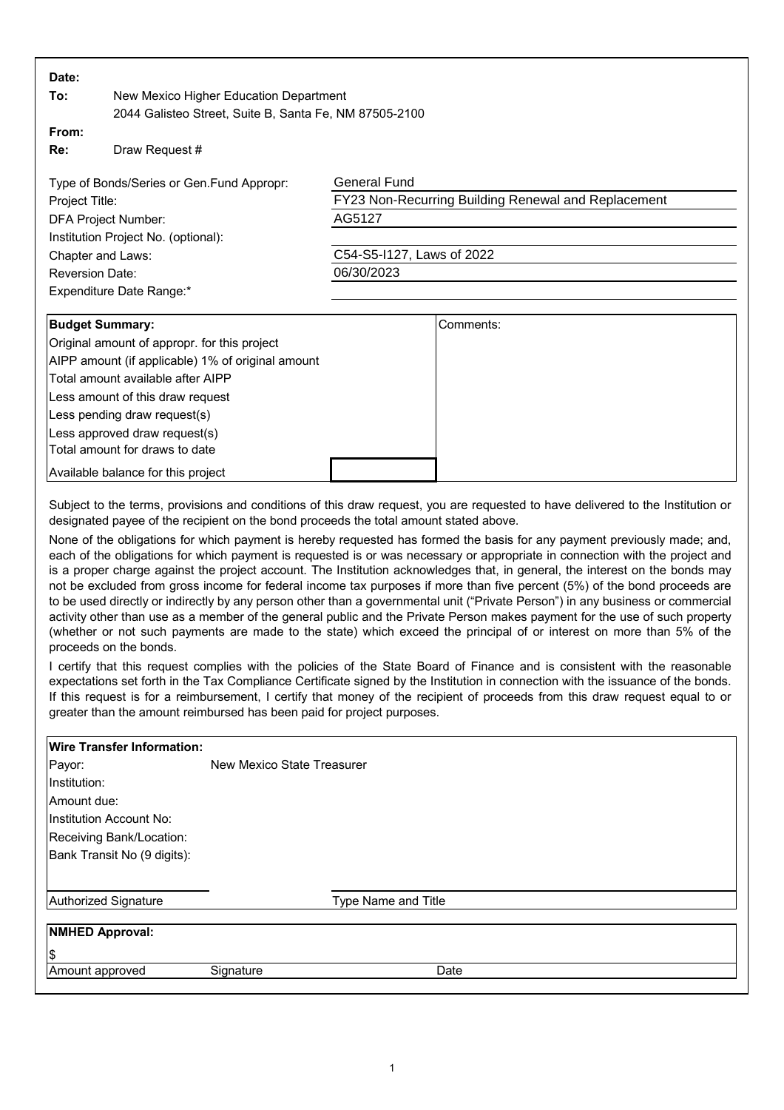| Date:                                                                                                                                                                                                                                                                                                                                                                                                                                                                                                                                                                                                                                                                                                                                                                                                                                                                                                                                                                                                                                                                                                                                                                                                                                                                                                                                                                                                                                                                                                                                                                                                                                                                                   |                                                                                                                  |                                                                                                                                 |
|-----------------------------------------------------------------------------------------------------------------------------------------------------------------------------------------------------------------------------------------------------------------------------------------------------------------------------------------------------------------------------------------------------------------------------------------------------------------------------------------------------------------------------------------------------------------------------------------------------------------------------------------------------------------------------------------------------------------------------------------------------------------------------------------------------------------------------------------------------------------------------------------------------------------------------------------------------------------------------------------------------------------------------------------------------------------------------------------------------------------------------------------------------------------------------------------------------------------------------------------------------------------------------------------------------------------------------------------------------------------------------------------------------------------------------------------------------------------------------------------------------------------------------------------------------------------------------------------------------------------------------------------------------------------------------------------|------------------------------------------------------------------------------------------------------------------|---------------------------------------------------------------------------------------------------------------------------------|
| To:<br>New Mexico Higher Education Department                                                                                                                                                                                                                                                                                                                                                                                                                                                                                                                                                                                                                                                                                                                                                                                                                                                                                                                                                                                                                                                                                                                                                                                                                                                                                                                                                                                                                                                                                                                                                                                                                                           |                                                                                                                  |                                                                                                                                 |
| 2044 Galisteo Street, Suite B, Santa Fe, NM 87505-2100                                                                                                                                                                                                                                                                                                                                                                                                                                                                                                                                                                                                                                                                                                                                                                                                                                                                                                                                                                                                                                                                                                                                                                                                                                                                                                                                                                                                                                                                                                                                                                                                                                  |                                                                                                                  |                                                                                                                                 |
| From:<br>Re:                                                                                                                                                                                                                                                                                                                                                                                                                                                                                                                                                                                                                                                                                                                                                                                                                                                                                                                                                                                                                                                                                                                                                                                                                                                                                                                                                                                                                                                                                                                                                                                                                                                                            | Draw Request #                                                                                                   |                                                                                                                                 |
| Type of Bonds/Series or Gen.Fund Appropr:<br>Project Title:<br><b>DFA Project Number:</b><br>Institution Project No. (optional):<br>Chapter and Laws:<br><b>Reversion Date:</b><br>Expenditure Date Range:*                                                                                                                                                                                                                                                                                                                                                                                                                                                                                                                                                                                                                                                                                                                                                                                                                                                                                                                                                                                                                                                                                                                                                                                                                                                                                                                                                                                                                                                                             |                                                                                                                  | <b>General Fund</b><br>FY23 Non-Recurring Building Renewal and Replacement<br>AG5127<br>C54-S5-I127, Laws of 2022<br>06/30/2023 |
|                                                                                                                                                                                                                                                                                                                                                                                                                                                                                                                                                                                                                                                                                                                                                                                                                                                                                                                                                                                                                                                                                                                                                                                                                                                                                                                                                                                                                                                                                                                                                                                                                                                                                         |                                                                                                                  |                                                                                                                                 |
|                                                                                                                                                                                                                                                                                                                                                                                                                                                                                                                                                                                                                                                                                                                                                                                                                                                                                                                                                                                                                                                                                                                                                                                                                                                                                                                                                                                                                                                                                                                                                                                                                                                                                         |                                                                                                                  |                                                                                                                                 |
| <b>Budget Summary:</b><br>Original amount of appropr. for this project<br>AIPP amount (if applicable) 1% of original amount<br>Total amount available after AIPP<br>Less amount of this draw request<br>Less pending draw request(s)<br>Less approved draw request(s)<br>Total amount for draws to date                                                                                                                                                                                                                                                                                                                                                                                                                                                                                                                                                                                                                                                                                                                                                                                                                                                                                                                                                                                                                                                                                                                                                                                                                                                                                                                                                                                 |                                                                                                                  | Comments:                                                                                                                       |
|                                                                                                                                                                                                                                                                                                                                                                                                                                                                                                                                                                                                                                                                                                                                                                                                                                                                                                                                                                                                                                                                                                                                                                                                                                                                                                                                                                                                                                                                                                                                                                                                                                                                                         | Available balance for this project                                                                               |                                                                                                                                 |
| Subject to the terms, provisions and conditions of this draw request, you are requested to have delivered to the Institution or<br>designated payee of the recipient on the bond proceeds the total amount stated above.<br>None of the obligations for which payment is hereby requested has formed the basis for any payment previously made; and,<br>each of the obligations for which payment is requested is or was necessary or appropriate in connection with the project and<br>is a proper charge against the project account. The Institution acknowledges that, in general, the interest on the bonds may<br>not be excluded from gross income for federal income tax purposes if more than five percent (5%) of the bond proceeds are<br>to be used directly or indirectly by any person other than a governmental unit ("Private Person") in any business or commercial<br>activity other than use as a member of the general public and the Private Person makes payment for the use of such property<br>(whether or not such payments are made to the state) which exceed the principal of or interest on more than 5% of the<br>proceeds on the bonds.<br>I certify that this request complies with the policies of the State Board of Finance and is consistent with the reasonable<br>expectations set forth in the Tax Compliance Certificate signed by the Institution in connection with the issuance of the bonds.<br>If this request is for a reimbursement, I certify that money of the recipient of proceeds from this draw request equal to or<br>greater than the amount reimbursed has been paid for project purposes.<br><b>Wire Transfer Information:</b> |                                                                                                                  |                                                                                                                                 |
| Payor:<br>Institution:<br>Amount due:                                                                                                                                                                                                                                                                                                                                                                                                                                                                                                                                                                                                                                                                                                                                                                                                                                                                                                                                                                                                                                                                                                                                                                                                                                                                                                                                                                                                                                                                                                                                                                                                                                                   | New Mexico State Treasurer<br>Institution Account No:<br>Receiving Bank/Location:<br>Bank Transit No (9 digits): |                                                                                                                                 |
|                                                                                                                                                                                                                                                                                                                                                                                                                                                                                                                                                                                                                                                                                                                                                                                                                                                                                                                                                                                                                                                                                                                                                                                                                                                                                                                                                                                                                                                                                                                                                                                                                                                                                         |                                                                                                                  |                                                                                                                                 |
| <b>Authorized Signature</b><br>Type Name and Title                                                                                                                                                                                                                                                                                                                                                                                                                                                                                                                                                                                                                                                                                                                                                                                                                                                                                                                                                                                                                                                                                                                                                                                                                                                                                                                                                                                                                                                                                                                                                                                                                                      |                                                                                                                  |                                                                                                                                 |
| <b>NMHED Approval:</b>                                                                                                                                                                                                                                                                                                                                                                                                                                                                                                                                                                                                                                                                                                                                                                                                                                                                                                                                                                                                                                                                                                                                                                                                                                                                                                                                                                                                                                                                                                                                                                                                                                                                  |                                                                                                                  |                                                                                                                                 |
| \$                                                                                                                                                                                                                                                                                                                                                                                                                                                                                                                                                                                                                                                                                                                                                                                                                                                                                                                                                                                                                                                                                                                                                                                                                                                                                                                                                                                                                                                                                                                                                                                                                                                                                      |                                                                                                                  |                                                                                                                                 |
| Date<br>Amount approved<br>Signature                                                                                                                                                                                                                                                                                                                                                                                                                                                                                                                                                                                                                                                                                                                                                                                                                                                                                                                                                                                                                                                                                                                                                                                                                                                                                                                                                                                                                                                                                                                                                                                                                                                    |                                                                                                                  |                                                                                                                                 |